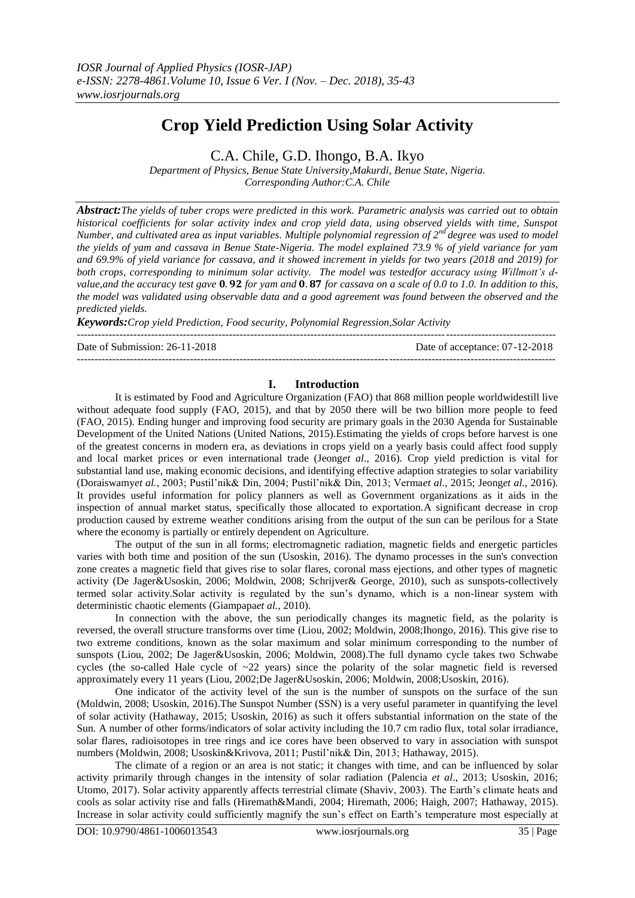# **Crop Yield Prediction Using Solar Activity**

C.A. Chile, G.D. Ihongo, B.A. Ikyo

*Department of Physics, Benue State University,Makurdi, Benue State, Nigeria. Corresponding Author:C.A. Chile*

*Abstract:The yields of tuber crops were predicted in this work. Parametric analysis was carried out to obtain historical coefficients for solar activity index and crop yield data, using observed yields with time, Sunspot Number, and cultivated area as input variables. Multiple polynomial regression of 2nd degree was used to model the yields of yam and cassava in Benue State-Nigeria. The model explained 73.9 % of yield variance for yam and 69.9% of yield variance for cassava, and it showed increment in yields for two years (2018 and 2019) for both crops, corresponding to minimum solar activity. The model was testedfor accuracy using Willmott's dvalue, and the accuracy test gave*  $0.92$  for yam and  $0.87$  for cassava on a scale of 0.0 to 1.0. In addition to this, *the model was validated using observable data and a good agreement was found between the observed and the predicted yields.* 

*Keywords:Crop yield Prediction, Food security, Polynomial Regression,Solar Activity*

---------------------------------------------------------------------------------------------------------------------------------------

Date of Submission: 26-11-2018 Date of acceptance: 07-12-2018

# **I. Introduction**

---------------------------------------------------------------------------------------------------------------------------------------

It is estimated by Food and Agriculture Organization (FAO) that 868 million people worldwidestill live without adequate food supply (FAO, 2015), and that by 2050 there will be two billion more people to feed (FAO, 2015)*.* Ending hunger and improving food security are primary goals in the 2030 Agenda for Sustainable Development of the United Nations (United Nations, 2015).Estimating the yields of crops before harvest is one of the greatest concerns in modern era, as deviations in crops yield on a yearly basis could affect food supply and local market prices or even international trade (Jeong*et al*., 2016). Crop yield prediction is vital for substantial land use, making economic decisions, and identifying effective adaption strategies to solar variability (Doraiswamy*et al.*, 2003; Pustil'nik& Din, 2004; Pustil'nik& Din, 2013; Verma*et al.*, 2015; Jeong*et al.,* 2016). It provides useful information for policy planners as well as Government organizations as it aids in the inspection of annual market status, specifically those allocated to exportation.A significant decrease in crop production caused by extreme weather conditions arising from the output of the sun can be perilous for a State where the economy is partially or entirely dependent on Agriculture.

The output of the sun in all forms; electromagnetic radiation, magnetic fields and energetic particles varies with both time and position of the sun (Usoskin, 2016). The dynamo processes in the sun's convection zone creates a magnetic field that gives rise to solar flares, coronal mass ejections, and other types of magnetic activity (De Jager&Usoskin, 2006; Moldwin, 2008; Schrijver& George, 2010), such as sunspots-collectively termed solar activity.Solar activity is regulated by the sun's dynamo, which is a non-linear system with deterministic chaotic elements (Giampapa*et al.,* 2010).

In connection with the above, the sun periodically changes its magnetic field, as the polarity is reversed, the overall structure transforms over time (Liou, 2002; Moldwin, 2008;Ihongo, 2016). This give rise to two extreme conditions, known as the solar maximum and solar minimum corresponding to the number of sunspots (Liou, 2002; De Jager&Usoskin, 2006; Moldwin, 2008).The full dynamo cycle takes two Schwabe cycles (the so-called Hale cycle of  $\sim$ 22 years) since the polarity of the solar magnetic field is reversed approximately every 11 years (Liou, 2002;De Jager&Usoskin, 2006; Moldwin, 2008;Usoskin, 2016).

One indicator of the activity level of the sun is the number of sunspots on the surface of the sun (Moldwin, 2008; Usoskin, 2016).The Sunspot Number (SSN) is a very useful parameter in quantifying the level of solar activity (Hathaway, 2015; Usoskin, 2016) as such it offers substantial information on the state of the Sun. A number of other forms/indicators of solar activity including the 10.7 cm radio flux, total solar irradiance, solar flares, radioisotopes in tree rings and ice cores have been observed to vary in association with sunspot numbers (Moldwin, 2008; Usoskin&Krivova, 2011; Pustil'nik& Din, 2013; Hathaway, 2015).

The climate of a region or an area is not static; it changes with time, and can be influenced by solar activity primarily through changes in the intensity of solar radiation (Palencia *et al*., 2013; Usoskin, 2016; Utomo, 2017). Solar activity apparently affects terrestrial climate (Shaviv, 2003). The Earth's climate heats and cools as solar activity rise and falls (Hiremath&Mandi, 2004; Hiremath, 2006; Haigh, 2007; Hathaway, 2015). Increase in solar activity could sufficiently magnify the sun's effect on Earth's temperature most especially at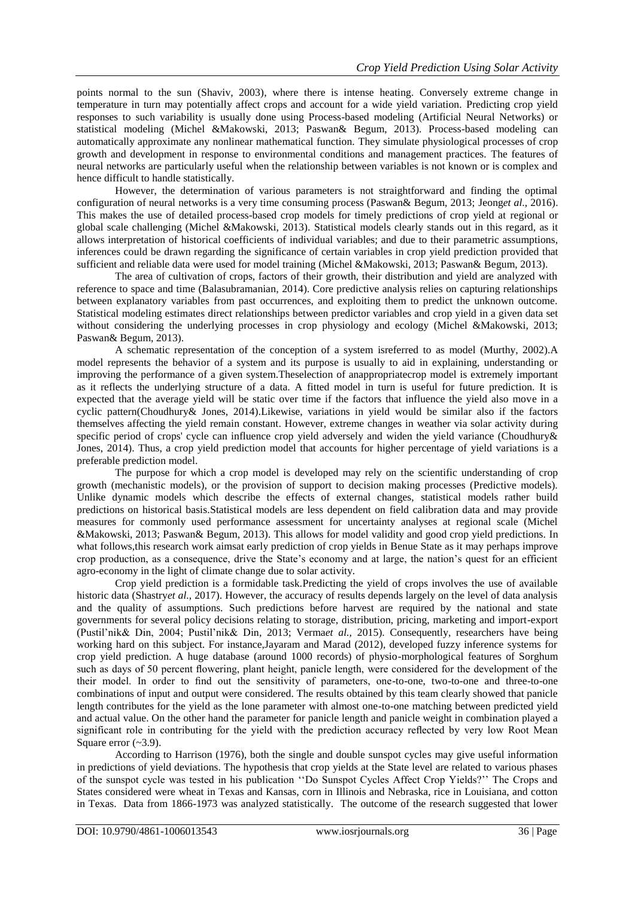points normal to the sun (Shaviv, 2003), where there is intense heating. Conversely extreme change in temperature in turn may potentially affect crops and account for a wide yield variation. Predicting crop yield responses to such variability is usually done using Process-based modeling (Artificial Neural Networks) or statistical modeling (Michel &Makowski, 2013; Paswan& Begum, 2013). Process-based modeling can automatically approximate any nonlinear mathematical function. They simulate physiological processes of crop growth and development in response to environmental conditions and management practices. The features of neural networks are particularly useful when the relationship between variables is not known or is complex and hence difficult to handle statistically.

However, the determination of various parameters is not straightforward and finding the optimal configuration of neural networks is a very time consuming process (Paswan& Begum, 2013; Jeong*et al*., 2016). This makes the use of detailed process-based crop models for timely predictions of crop yield at regional or global scale challenging (Michel &Makowski, 2013). Statistical models clearly stands out in this regard, as it allows interpretation of historical coefficients of individual variables; and due to their parametric assumptions, inferences could be drawn regarding the significance of certain variables in crop yield prediction provided that sufficient and reliable data were used for model training (Michel &Makowski, 2013; Paswan& Begum, 2013).

The area of cultivation of crops, factors of their growth, their distribution and yield are analyzed with reference to space and time (Balasubramanian, 2014). Core predictive analysis relies on capturing relationships between explanatory variables from past occurrences, and exploiting them to predict the unknown outcome. Statistical modeling estimates direct relationships between predictor variables and crop yield in a given data set without considering the underlying processes in crop physiology and ecology (Michel &Makowski, 2013; Paswan& Begum, 2013).

A schematic representation of the conception of a system isreferred to as model (Murthy, 2002).A model represents the behavior of a system and its purpose is usually to aid in explaining, understanding or improving the performance of a given system.Theselection of anappropriatecrop model is extremely important as it reflects the underlying structure of a data. A fitted model in turn is useful for future prediction. It is expected that the average yield will be static over time if the factors that influence the yield also move in a cyclic pattern(Choudhury& Jones, 2014).Likewise, variations in yield would be similar also if the factors themselves affecting the yield remain constant. However, extreme changes in weather via solar activity during specific period of crops' cycle can influence crop yield adversely and widen the yield variance (Choudhury & Jones, 2014). Thus, a crop yield prediction model that accounts for higher percentage of yield variations is a preferable prediction model.

The purpose for which a crop model is developed may rely on the scientific understanding of crop growth (mechanistic models), or the provision of support to decision making processes (Predictive models). Unlike dynamic models which describe the effects of external changes, statistical models rather build predictions on historical basis.Statistical models are less dependent on field calibration data and may provide measures for commonly used performance assessment for uncertainty analyses at regional scale (Michel &Makowski, 2013; Paswan& Begum, 2013). This allows for model validity and good crop yield predictions. In what follows, this research work aimsat early prediction of crop yields in Benue State as it may perhaps improve crop production, as a consequence, drive the State's economy and at large, the nation's quest for an efficient agro-economy in the light of climate change due to solar activity.

Crop yield prediction is a formidable task.Predicting the yield of crops involves the use of available historic data (Shastry*et al.,* 2017). However, the accuracy of results depends largely on the level of data analysis and the quality of assumptions. Such predictions before harvest are required by the national and state governments for several policy decisions relating to storage, distribution, pricing, marketing and import-export (Pustil'nik& Din, 2004; Pustil'nik& Din, 2013; Verma*et al.,* 2015). Consequently, researchers have being working hard on this subject. For instance,Jayaram and Marad (2012), developed fuzzy inference systems for crop yield prediction. A huge database (around 1000 records) of physio-morphological features of Sorghum such as days of 50 percent flowering, plant height, panicle length, were considered for the development of the their model. In order to find out the sensitivity of parameters, one-to-one, two-to-one and three-to-one combinations of input and output were considered. The results obtained by this team clearly showed that panicle length contributes for the yield as the lone parameter with almost one-to-one matching between predicted yield and actual value. On the other hand the parameter for panicle length and panicle weight in combination played a significant role in contributing for the yield with the prediction accuracy reflected by very low Root Mean Square error  $(-3.9)$ .

According to Harrison (1976), both the single and double sunspot cycles may give useful information in predictions of yield deviations. The hypothesis that crop yields at the State level are related to various phases of the sunspot cycle was tested in his publication ''Do Sunspot Cycles Affect Crop Yields?'' The Crops and States considered were wheat in Texas and Kansas, corn in Illinois and Nebraska, rice in Louisiana, and cotton in Texas. Data from 1866-1973 was analyzed statistically. The outcome of the research suggested that lower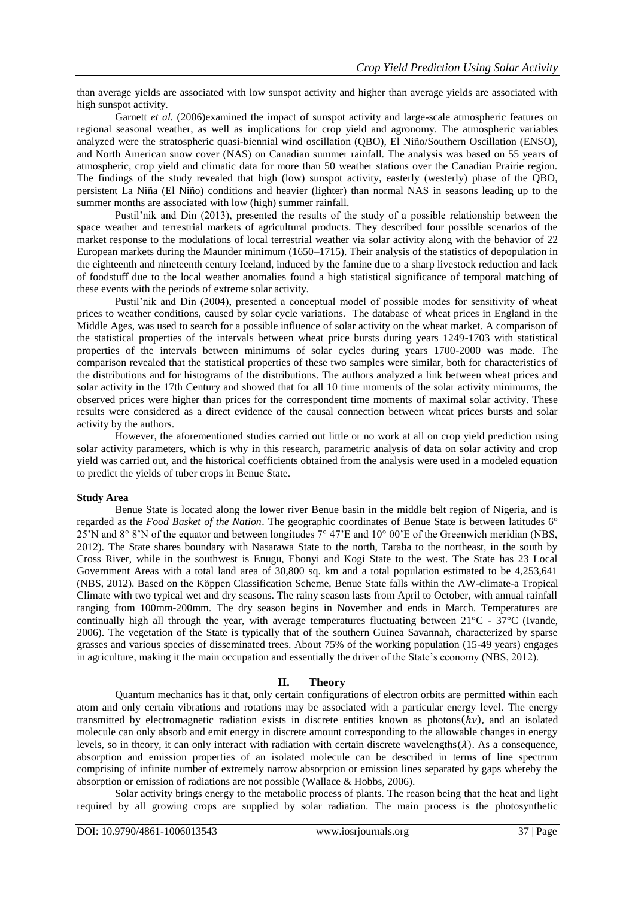than average yields are associated with low sunspot activity and higher than average yields are associated with high sunspot activity.

Garnett *et al.* (2006)examined the impact of sunspot activity and large-scale atmospheric features on regional seasonal weather, as well as implications for crop yield and agronomy. The atmospheric variables analyzed were the stratospheric quasi-biennial wind oscillation (QBO), El Niño/Southern Oscillation (ENSO), and North American snow cover (NAS) on Canadian summer rainfall. The analysis was based on 55 years of atmospheric, crop yield and climatic data for more than 50 weather stations over the Canadian Prairie region. The findings of the study revealed that high (low) sunspot activity, easterly (westerly) phase of the QBO, persistent La Niña (El Niño) conditions and heavier (lighter) than normal NAS in seasons leading up to the summer months are associated with low (high) summer rainfall.

Pustil'nik and Din (2013), presented the results of the study of a possible relationship between the space weather and terrestrial markets of agricultural products. They described four possible scenarios of the market response to the modulations of local terrestrial weather via solar activity along with the behavior of 22 European markets during the Maunder minimum (1650–1715). Their analysis of the statistics of depopulation in the eighteenth and nineteenth century Iceland, induced by the famine due to a sharp livestock reduction and lack of foodstuff due to the local weather anomalies found a high statistical significance of temporal matching of these events with the periods of extreme solar activity.

Pustil'nik and Din (2004), presented a conceptual model of possible modes for sensitivity of wheat prices to weather conditions, caused by solar cycle variations. The database of wheat prices in England in the Middle Ages, was used to search for a possible influence of solar activity on the wheat market. A comparison of the statistical properties of the intervals between wheat price bursts during years 1249-1703 with statistical properties of the intervals between minimums of solar cycles during years 1700-2000 was made. The comparison revealed that the statistical properties of these two samples were similar, both for characteristics of the distributions and for histograms of the distributions. The authors analyzed a link between wheat prices and solar activity in the 17th Century and showed that for all 10 time moments of the solar activity minimums, the observed prices were higher than prices for the correspondent time moments of maximal solar activity. These results were considered as a direct evidence of the causal connection between wheat prices bursts and solar activity by the authors.

However, the aforementioned studies carried out little or no work at all on crop yield prediction using solar activity parameters, which is why in this research, parametric analysis of data on solar activity and crop yield was carried out, and the historical coefficients obtained from the analysis were used in a modeled equation to predict the yields of tuber crops in Benue State.

### **Study Area**

Benue State is located along the lower river Benue basin in the middle belt region of Nigeria, and is regarded as the *Food Basket of the Nation*. The geographic coordinates of Benue State is between latitudes 6° 25'N and 8° 8'N of the equator and between longitudes 7° 47'E and 10° 00'E of the Greenwich meridian (NBS, 2012)*.* The State shares boundary with Nasarawa State to the north, Taraba to the northeast, in the south by Cross River, while in the southwest is Enugu, Ebonyi and Kogi State to the west. The State has 23 Local Government Areas with a total land area of 30,800 sq. km and a total population estimated to be 4,253,641 (NBS, 2012). Based on the Köppen Classification Scheme, Benue State falls within the AW-climate-a Tropical Climate with two typical wet and dry seasons. The rainy season lasts from April to October, with annual rainfall ranging from 100mm-200mm. The dry season begins in November and ends in March. Temperatures are continually high all through the year, with average temperatures fluctuating between  $21^{\circ}$ C -  $37^{\circ}$ C (Ivande, 2006). The vegetation of the State is typically that of the southern Guinea Savannah, characterized by sparse grasses and various species of disseminated trees. About 75% of the working population (15-49 years) engages in agriculture, making it the main occupation and essentially the driver of the State's economy (NBS, 2012).

### **II. Theory**

Quantum mechanics has it that, only certain configurations of electron orbits are permitted within each atom and only certain vibrations and rotations may be associated with a particular energy level. The energy transmitted by electromagnetic radiation exists in discrete entities known as photons  $(hv)$ , and an isolated molecule can only absorb and emit energy in discrete amount corresponding to the allowable changes in energy levels, so in theory, it can only interact with radiation with certain discrete wavelengths( $\lambda$ ). As a consequence, absorption and emission properties of an isolated molecule can be described in terms of line spectrum comprising of infinite number of extremely narrow absorption or emission lines separated by gaps whereby the absorption or emission of radiations are not possible (Wallace & Hobbs, 2006).

Solar activity brings energy to the metabolic process of plants. The reason being that the heat and light required by all growing crops are supplied by solar radiation. The main process is the photosynthetic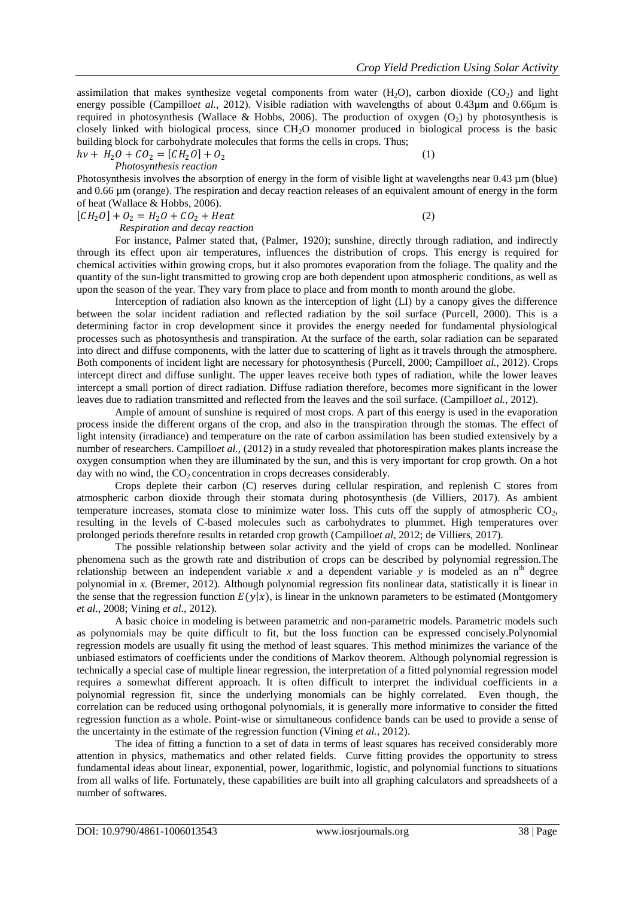assimilation that makes synthesize vegetal components from water  $(H<sub>2</sub>O)$ , carbon dioxide  $(CO<sub>2</sub>)$  and light energy possible (Campillo*et al.*, 2012). Visible radiation with wavelengths of about 0.43um and 0.66um is required in photosynthesis (Wallace & Hobbs, 2006). The production of oxygen  $(O_2)$  by photosynthesis is closely linked with biological process, since CH<sub>2</sub>O monomer produced in biological process is the basic building block for carbohydrate molecules that forms the cells in crops. Thus;

 $hv + H_2 O + C O_2 = [CH_2 O] + O_2$ *Photosynthesis reaction*

(1)

Photosynthesis involves the absorption of energy in the form of visible light at wavelengths near 0.43  $\mu$ m (blue) and 0.66 µm (orange). The respiration and decay reaction releases of an equivalent amount of energy in the form of heat (Wallace & Hobbs, 2006).

 $[CH_2O] + O_2 = H_2O + CO_2 + Heat$  (2)

 *Respiration and decay reaction*

For instance, Palmer stated that, (Palmer, 1920); sunshine, directly through radiation, and indirectly through its effect upon air temperatures, influences the distribution of crops. This energy is required for chemical activities within growing crops, but it also promotes evaporation from the foliage. The quality and the quantity of the sun-light transmitted to growing crop are both dependent upon atmospheric conditions, as well as upon the season of the year. They vary from place to place and from month to month around the globe.

Interception of radiation also known as the interception of light (LI) by a canopy gives the difference between the solar incident radiation and reflected radiation by the soil surface (Purcell, 2000). This is a determining factor in crop development since it provides the energy needed for fundamental physiological processes such as photosynthesis and transpiration. At the surface of the earth, solar radiation can be separated into direct and diffuse components, with the latter due to scattering of light as it travels through the atmosphere. Both components of incident light are necessary for photosynthesis (Purcell, 2000; Campillo*et al.,* 2012). Crops intercept direct and diffuse sunlight. The upper leaves receive both types of radiation, while the lower leaves intercept a small portion of direct radiation. Diffuse radiation therefore, becomes more significant in the lower leaves due to radiation transmitted and reflected from the leaves and the soil surface. (Campillo*et al.*, 2012).

Ample of amount of sunshine is required of most crops. A part of this energy is used in the evaporation process inside the different organs of the crop, and also in the transpiration through the stomas. The effect of light intensity (irradiance) and temperature on the rate of carbon assimilation has been studied extensively by a number of researchers. Campillo*et al.,* (2012) in a study revealed that photorespiration makes plants increase the oxygen consumption when they are illuminated by the sun, and this is very important for crop growth. On a hot day with no wind, the  $CO<sub>2</sub>$  concentration in crops decreases considerably.

Crops deplete their carbon (C) reserves during cellular respiration, and replenish C stores from atmospheric carbon dioxide through their stomata during photosynthesis (de Villiers, 2017). As ambient temperature increases, stomata close to minimize water loss. This cuts off the supply of atmospheric  $CO<sub>2</sub>$ , resulting in the levels of C-based molecules such as carbohydrates to plummet. High temperatures over prolonged periods therefore results in retarded crop growth (Campillo*et al*, 2012; de Villiers, 2017).

The possible relationship between solar activity and the yield of crops can be modelled. Nonlinear phenomena such as the growth rate and distribution of crops can be described by polynomial regression.The relationship between an independent variable  $x$  and a dependent variable  $y$  is modeled as an  $n^{th}$  degree polynomial in *x.* (Bremer, 2012). Although polynomial regression fits nonlinear data, statistically it is linear in the sense that the regression function  $E(y|x)$ , is linear in the unknown parameters to be estimated (Montgomery *et al.,* 2008; Vining *et al.,* 2012).

A basic choice in modeling is between parametric and non-parametric models. Parametric models such as polynomials may be quite difficult to fit, but the loss function can be expressed concisely.Polynomial regression models are usually fit using the method of least squares. This method minimizes the variance of the unbiased estimators of coefficients under the conditions of Markov theorem. Although polynomial regression is technically a special case of multiple linear regression, the interpretation of a fitted polynomial regression model requires a somewhat different approach. It is often difficult to interpret the individual coefficients in a polynomial regression fit, since the underlying monomials can be highly correlated. Even though, the correlation can be reduced using orthogonal polynomials, it is generally more informative to consider the fitted regression function as a whole. Point-wise or simultaneous confidence bands can be used to provide a sense of the uncertainty in the estimate of the regression function (Vining *et al.,* 2012).

The idea of fitting a function to a set of data in terms of least squares has received considerably more attention in physics, mathematics and other related fields. Curve fitting provides the opportunity to stress fundamental ideas about linear, exponential, power, logarithmic, logistic, and polynomial functions to situations from all walks of life. Fortunately, these capabilities are built into all graphing calculators and spreadsheets of a number of softwares.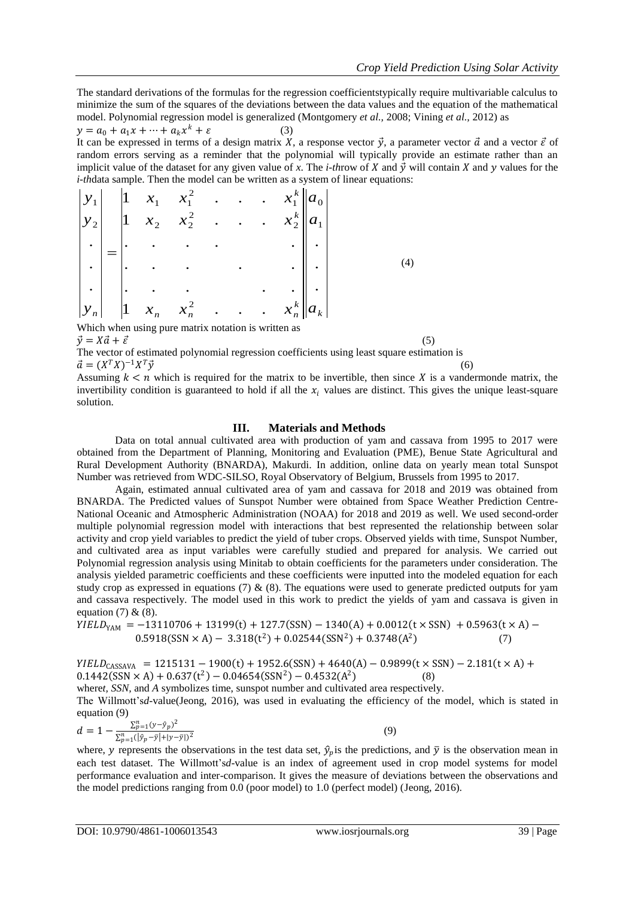The standard derivations of the formulas for the regression coefficientstypically require multivariable calculus to minimize the sum of the squares of the deviations between the data values and the equation of the mathematical model. Polynomial regression model is generalized (Montgomery *et al.,* 2008; Vining *et al.,* 2012) as

 $y = a_0 + a_1 x + \dots + a_k x^k + \varepsilon$  (3) It can be expressed in terms of a design matrix X, a response vector  $\vec{y}$ , a parameter vector  $\vec{a}$  and a vector  $\vec{\varepsilon}$  of random errors serving as a reminder that the polynomial will typically provide an estimate rather than an implicit value of the dataset for any given value of x. The *i-throw* of X and  $\vec{y}$  will contain X and y values for the *i-th*data sample. Then the model can be written as a system of linear equations:

$$
\begin{vmatrix} y_1 \\ y_2 \\ \vdots \\ y_n \end{vmatrix} = \begin{vmatrix} 1 & x_1 & x_1^2 & \cdots & x_1^k \\ 1 & x_2 & x_2^2 & \cdots & x_2^k \\ \vdots & \vdots & \ddots & \vdots & \vdots \\ 1 & x_n & x_n^2 & \cdots & x_n^k \end{vmatrix} \cdot \begin{vmatrix} a_0 \\ a_1 \\ \vdots \\ a_k \end{vmatrix}
$$
 (4)

Which when using pure matrix notation is written as  $\vec{v} = X\vec{a} + \vec{\varepsilon}$  (5)

The vector of estimated polynomial regression coefficients using least square estimation is  $\vec{a} = (X^T X)^{-1} X$  $T\vec{y}$  (6)

Assuming  $k < n$  which is required for the matrix to be invertible, then since X is a vandermonde matrix, the invertibility condition is guaranteed to hold if all the  $x_i$  values are distinct. This gives the unique least-square solution.

### **III. Materials and Methods**

Data on total annual cultivated area with production of yam and cassava from 1995 to 2017 were obtained from the Department of Planning, Monitoring and Evaluation (PME), Benue State Agricultural and Rural Development Authority (BNARDA), Makurdi. In addition, online data on yearly mean total Sunspot Number was retrieved from WDC-SILSO, Royal Observatory of Belgium, Brussels from 1995 to 2017.

Again, estimated annual cultivated area of yam and cassava for 2018 and 2019 was obtained from BNARDA. The Predicted values of Sunspot Number were obtained from Space Weather Prediction Centre-National Oceanic and Atmospheric Administration (NOAA) for 2018 and 2019 as well. We used second-order multiple polynomial regression model with interactions that best represented the relationship between solar activity and crop yield variables to predict the yield of tuber crops. Observed yields with time, Sunspot Number, and cultivated area as input variables were carefully studied and prepared for analysis. We carried out Polynomial regression analysis using Minitab to obtain coefficients for the parameters under consideration. The analysis yielded parametric coefficients and these coefficients were inputted into the modeled equation for each study crop as expressed in equations (7)  $\&$  (8). The equations were used to generate predicted outputs for yam and cassava respectively. The model used in this work to predict the yields of yam and cassava is given in equation  $(7)$  &  $(8)$ .

 $YIELD<sub>YAH</sub> = -13110706 + 13199(t) + 127.7(SSN) - 1340(A) + 0.0012(t \times SSN) + 0.5963(t \times A) 0.5918(SSN \times A) - 3.318(t^2) + 0.02544(SSN^2) + 0.3748(A^2)$ ) (7)

 $YIELD_{CASSAVA} = 1215131 - 1900(t) + 1952.6(SSN) + 4640(A) - 0.9899(t \times SSN) - 2.181(t \times A) +$  $0.1442(SSN \times A) + 0.637(t^2) - 0.04654(SSN^2) - 0.4532(A^2)$  $(8)$ 

where*t*, SSN, and *A* symbolizes time, sunspot number and cultivated area respectively.

The Willmott's*d-*value(Jeong, 2016), was used in evaluating the efficiency of the model, which is stated in equation (9)

$$
d = 1 - \frac{\sum_{p=1}^{n} (y - \hat{y}_p)^2}{\sum_{p=1}^{n} (|\hat{y}_p - \bar{y}| + |y - \bar{y}|)^2}
$$
(9)

where, y represents the observations in the test data set,  $\hat{y}_p$  is the predictions, and  $\bar{y}$  is the observation mean in each test dataset. The Willmott's*d*-value is an index of agreement used in crop model systems for model performance evaluation and inter-comparison. It gives the measure of deviations between the observations and the model predictions ranging from 0.0 (poor model) to 1.0 (perfect model) (Jeong, 2016).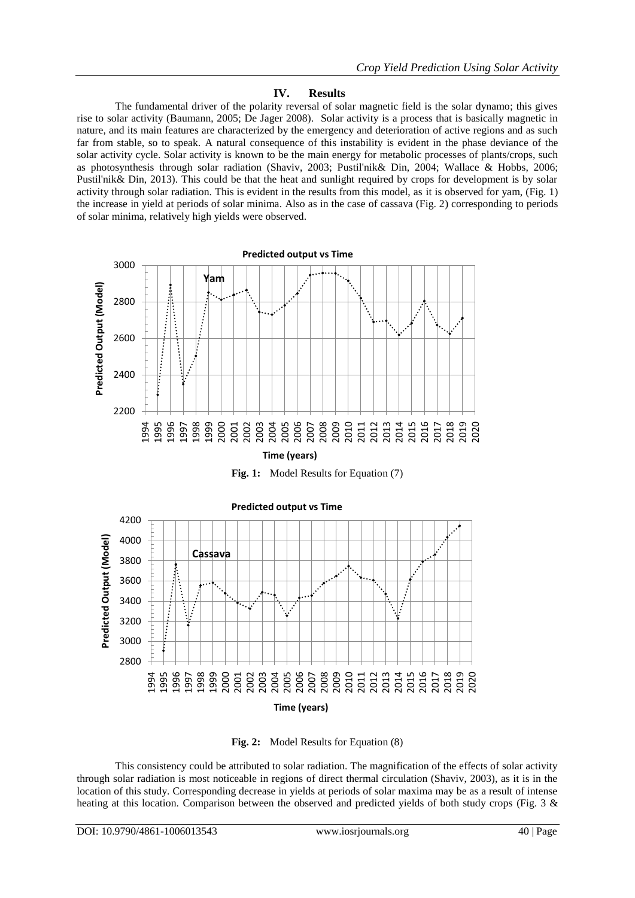# **IV. Results**

The fundamental driver of the polarity reversal of solar magnetic field is the solar dynamo; this gives rise to solar activity (Baumann, 2005; De Jager 2008). Solar activity is a process that is basically magnetic in nature, and its main features are characterized by the emergency and deterioration of active regions and as such far from stable, so to speak. A natural consequence of this instability is evident in the phase deviance of the solar activity cycle. Solar activity is known to be the main energy for metabolic processes of plants/crops, such as photosynthesis through solar radiation (Shaviv, 2003; Pustil'nik& Din, 2004; Wallace & Hobbs, 2006; Pustil'nik& Din, 2013). This could be that the heat and sunlight required by crops for development is by solar activity through solar radiation. This is evident in the results from this model, as it is observed for yam, (Fig. 1) the increase in yield at periods of solar minima. Also as in the case of cassava (Fig. 2) corresponding to periods of solar minima, relatively high yields were observed.







**Fig. 2:** Model Results for Equation (8)

This consistency could be attributed to solar radiation. The magnification of the effects of solar activity through solar radiation is most noticeable in regions of direct thermal circulation (Shaviv, 2003), as it is in the location of this study. Corresponding decrease in yields at periods of solar maxima may be as a result of intense heating at this location. Comparison between the observed and predicted yields of both study crops (Fig. 3 &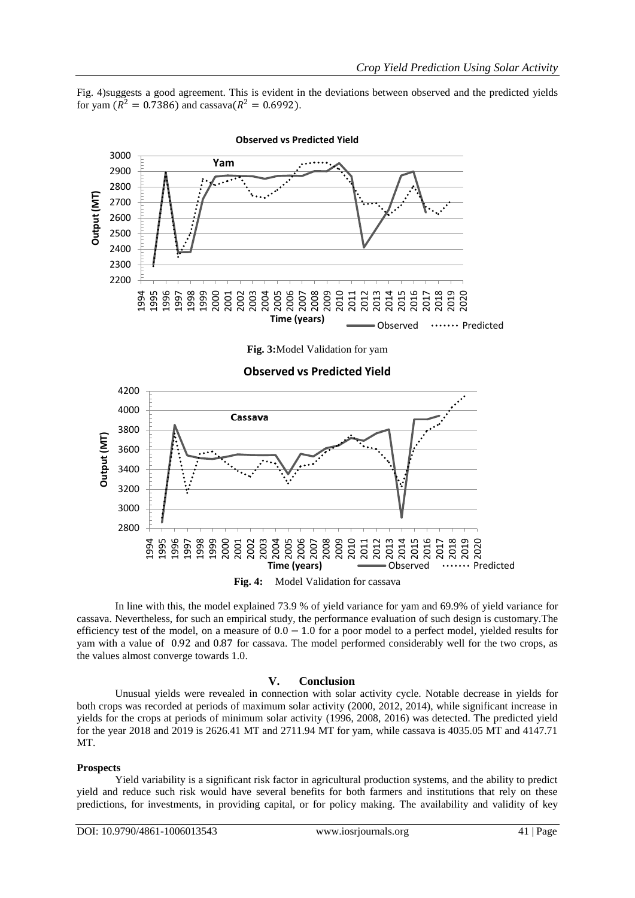Fig. 4)suggests a good agreement. This is evident in the deviations between observed and the predicted yields for yam ( $R^2 = 0.7386$ ) and cassava( $R^2 = 0.6992$ ).



#### **Observed vs Predicted Yield**

**Fig. 3:**Model Validation for yam

**Observed vs Predicted Yield**

 Cassava Output (MT) **Output (MT)** 2011 201<sup>t</sup> **Time (years)** Observed ...... Predicted

**Fig. 4:** Model Validation for cassava

In line with this, the model explained 73.9 % of yield variance for yam and 69.9% of yield variance for cassava. Nevertheless, for such an empirical study, the performance evaluation of such design is customary.The efficiency test of the model, on a measure of  $0.0 - 1.0$  for a poor model to a perfect model, yielded results for yam with a value of 0.92 and 0.87 for cassava. The model performed considerably well for the two crops, as the values almost converge towards 1.0.

# **V. Conclusion**

Unusual yields were revealed in connection with solar activity cycle. Notable decrease in yields for both crops was recorded at periods of maximum solar activity (2000, 2012, 2014), while significant increase in yields for the crops at periods of minimum solar activity (1996, 2008, 2016) was detected. The predicted yield for the year 2018 and 2019 is 2626.41 MT and 2711.94 MT for yam, while cassava is 4035.05 MT and 4147.71 MT.

#### **Prospects**

Yield variability is a significant risk factor in agricultural production systems, and the ability to predict yield and reduce such risk would have several benefits for both farmers and institutions that rely on these predictions, for investments, in providing capital, or for policy making. The availability and validity of key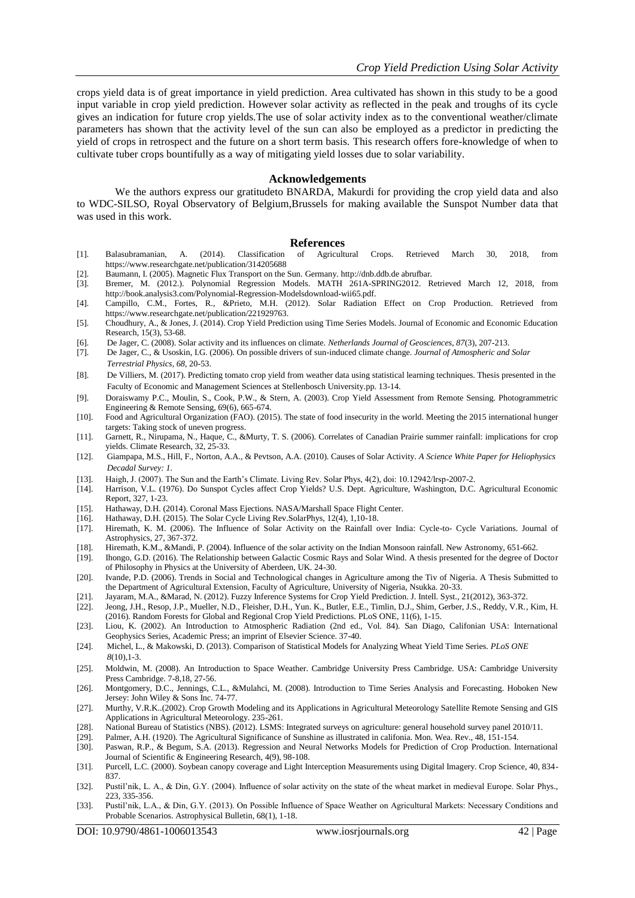crops yield data is of great importance in yield prediction. Area cultivated has shown in this study to be a good input variable in crop yield prediction. However solar activity as reflected in the peak and troughs of its cycle gives an indication for future crop yields.The use of solar activity index as to the conventional weather/climate parameters has shown that the activity level of the sun can also be employed as a predictor in predicting the yield of crops in retrospect and the future on a short term basis. This research offers fore-knowledge of when to cultivate tuber crops bountifully as a way of mitigating yield losses due to solar variability.

### **Acknowledgements**

We the authors express our gratitudeto BNARDA, Makurdi for providing the crop yield data and also to WDC-SILSO, Royal Observatory of Belgium,Brussels for making available the Sunspot Number data that was used in this work.

#### **References**

- [1]. Balasubramanian, A. (2014). Classification of Agricultural Crops. Retrieved March 30, 2018, from https://www.researchgate.net/publication/314205688
- [2]. Baumann, I. (2005). Magnetic Flux Transport on the Sun. Germany. http://dnb.ddb.de abrufbar.
- [3]. Bremer, M. (2012.). Polynomial Regression Models. MATH 261A-SPRING2012. Retrieved March 12, 2018, from http://book.analysis3.com/Polynomial-Regression-Modelsdownload-wii65.pdf.
- [4]. Campillo, C.M., Fortes, R., &Prieto, M.H. (2012). Solar Radiation Effect on Crop Production. Retrieved from https://www.researchgate.net/publication/221929763.
- [5]. Choudhury, A., & Jones, J. (2014). Crop Yield Prediction using Time Series Models. Journal of Economic and Economic Education Research, 15(3), 53-68.
- [6]. De Jager, C. (2008). Solar activity and its influences on climate. *Netherlands Journal of Geosciences, 87*(3), 207-213.
- [7]. De Jager, C., & Usoskin, I.G. (2006). On possible drivers of sun-induced climate change. *Journal of Atmospheric and Solar Terrestrial Physics, 68*, 20-53.
- [8]. De Villiers, M. (2017). Predicting tomato crop yield from weather data using statistical learning techniques. Thesis presented in the Faculty of Economic and Management Sciences at Stellenbosch University.pp. 13-14.
- [9]. Doraiswamy P.C., Moulin, S., Cook, P.W., & Stern, A. (2003). Crop Yield Assessment from Remote Sensing. Photogrammetric Engineering & Remote Sensing, 69(6), 665-674.
- [10]. Food and Agricultural Organization (FAO). (2015). The state of food insecurity in the world. Meeting the 2015 international hunger targets: Taking stock of uneven progress.
- [11]. Garnett, R., Nirupama, N., Haque, C., &Murty, T. S. (2006). Correlates of Canadian Prairie summer rainfall: implications for crop yields. Climate Research, 32, 25-33.
- [12]. Giampapa, M.S., Hill, F., Norton, A.A., & Pevtson, A.A. (2010). Causes of Solar Activity. *A Science White Paper for Heliophysics Decadal Survey: 1.*
- [13]. Haigh, J. (2007). The Sun and the Earth's Climate. Living Rev. Solar Phys, 4(2), doi: 10.12942/lrsp-2007-2.
- [14]. Harrison, V.L. (1976). Do Sunspot Cycles affect Crop Yields? U.S. Dept. Agriculture, Washington, D.C. Agricultural Economic Report, 327, 1-23.
- [15]. Hathaway, D.H. (2014). Coronal Mass Ejections. NASA/Marshall Space Flight Center.
- [16]. Hathaway, D.H. (2015). The Solar Cycle Living Rev.SolarPhys, 12(4), 1,10-18.
- [17]. Hiremath, K. M. (2006). The Influence of Solar Activity on the Rainfall over India: Cycle-to- Cycle Variations. Journal of Astrophysics, 27, 367-372.
- [18]. Hiremath, K.M., &Mandi, P. (2004). Influence of the solar activity on the Indian Monsoon rainfall. New Astronomy, 651-662.
- [19]. Ihongo, G.D. (2016). The Relationship between Galactic Cosmic Rays and Solar Wind. A thesis presented for the degree of Doctor of Philosophy in Physics at the University of Aberdeen, UK. 24-30.
- [20]. Ivande, P.D. (2006). Trends in Social and Technological changes in Agriculture among the Tiv of Nigeria. A Thesis Submitted to the Department of Agricultural Extension, Faculty of Agriculture, University of Nigeria, Nsukka. 20-33.
- [21]. Jayaram, M.A., &Marad, N. (2012). Fuzzy Inference Systems for Crop Yield Prediction. J. Intell. Syst., 21(2012), 363-372.
- [22]. Jeong, J.H., Resop, J.P., Mueller, N.D., Fleisher, D.H., Yun. K., Butler, E.E., Timlin, D.J., Shim, Gerber, J.S., Reddy, V.R., Kim, H. (2016). Random Forests for Global and Regional Crop Yield Predictions. PLoS ONE, 11(6), 1-15.
- [23]. Liou, K. (2002). An Introduction to Atmospheric Radiation (2nd ed., Vol. 84). San Diago, Califonian USA: International Geophysics Series, Academic Press; an imprint of Elsevier Science. 37-40.
- [24]. Michel, L., & Makowski, D. (2013). Comparison of Statistical Models for Analyzing Wheat Yield Time Series. *PLoS ONE 8*(10),1-3.
- [25]. Moldwin, M. (2008). An Introduction to Space Weather. Cambridge University Press Cambridge. USA: Cambridge University Press Cambridge. 7-8,18, 27-56.
- [26]. Montgomery, D.C., Jennings, C.L., &Mulahci, M. (2008). Introduction to Time Series Analysis and Forecasting. Hoboken New Jersey: John Wiley & Sons Inc. 74-77.
- [27]. Murthy, V.R.K..(2002). Crop Growth Modeling and its Applications in Agricultural Meteorology Satellite Remote Sensing and GIS Applications in Agricultural Meteorology. 235-261.
- [28]. National Bureau of Statistics (NBS). (2012). LSMS: Integrated surveys on agriculture: general household survey panel 2010/11.
- [29]. Palmer, A.H. (1920). The Agricultural Significance of Sunshine as illustrated in califonia. Mon. Wea. Rev., 48, 151-154.
- [30]. Paswan, R.P., & Begum, S.A. (2013). Regression and Neural Networks Models for Prediction of Crop Production. International Journal of Scientific & Engineering Research, 4(9), 98-108.
- [31]. Purcell, L.C. (2000). Soybean canopy coverage and Light Interception Measurements using Digital Imagery. Crop Science, 40, 834- 837.
- [32]. Pustil'nik, L. A., & Din, G.Y. (2004). Influence of solar activity on the state of the wheat market in medieval Europe. Solar Phys., 223, 335-356.
- [33]. Pustil'nik, L.A., & Din, G.Y. (2013). On Possible Influence of Space Weather on Agricultural Markets: Necessary Conditions and Probable Scenarios. Astrophysical Bulletin, 68(1), 1-18.